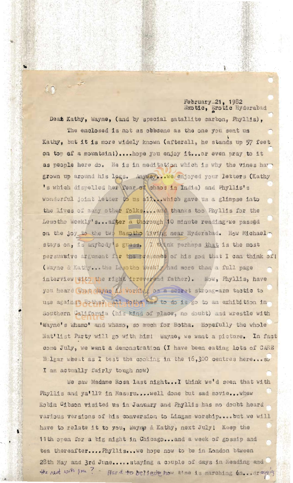## February 21, 1982 Exotic, Erotic Hyderabad

Deat Kathy, Wayne, (and by special satallite carbon, Phyllis), The enclosed is not as obbcene as the one you sent us Kathy, but it is more widely known (afterall, he stands up 57 feet on top af a mountain!).... hope you enjoy it... or even pray to it as people here do. He is in meditation which is why the vines have grown up around his legs. Anyway... we enjoyed your letters (Kathy 's which dispelled her Year of chaos in India) and Phyllis's wonderful joint letter to us all... which gave us a glimpse into the lives of many other folks. And thanks too Phyllis for the Lesotho Weekly's... after a thorough 10 minute reading we passed on the joy to the two Basotho *living* near Hyderabad. How Michael stays on, is anybody s guess. //1//000nk perhaps that is the most persuanive argument for the presence of his god that I can think of! (wayne & Kathy...the Lesstho Weekha had more than a full page interview with the right irreverend father). Now, Phyllis, have you heard that Mayne As working on a secret strong-arm tactic to use against Bothe? All Botha has to do is go to an exhibition in Southern California (his kind of place, no doubt) and wrestle with 'wayne's Whamo' and whamo, so much for Botha. Hopefully the whole Nat'list Party will go with him! Wayne, we want a picture. In fact come July, we want a demonstration (I have been eating lots of CARE Bulgar wheat as I test the cooking in the 16,300 centres here... so I am actually fairly tough now)

We saw Madame Rosa last night... I think we'd seen that with Phyllis and ya'll? in Maseru.... well done but sad movie... whew Robin Gibson visited us in January and Phyllis has no doubt heard various versions of his conversion to Lingam worship.... but we will have to relate it to you, Wayne & Kathy, next July! Keep the 11th open for a big night in Chicago... and a week of gossip and tea thereafter.... Phyllis... we hope now to be in London btween 28th May and 3rd June..... staying a couple of days in Reading and the real with you? - Hard to believe how time is marching on... dragging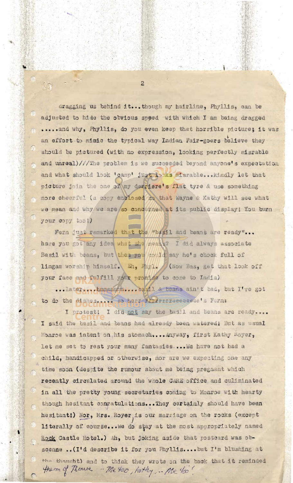dragging us behind it... though my hairline, Phyllis, can be adjusted to hide the obvious speed with which I am being dragged ..... and why, Phyllis, do you even keep that horrible picture; it was an effort to mimic the typical way Indian Fair-goers believe they should be pictured (with no expression, looking perfectly misrable and unreal)///The problem is we succeeded beyond anyone's expectation and what should look 'camp' just looks misrable... kindly let that picture join the one of my derriere's flat tyre & use something more cheerful (a dopy enclosed so that Wayne & Kathy will see what we mean and why we are so concerned at its public display! You burn your copy too!)

Fern just remarked that the posil and beans are ready"... have you got any idea what she / means? I did always associate Basil with beans, but then you epuld say he's chock full of lingam worship himself. Eh, Phyl. (Now Bas, get that look off your face and fulfill your promise to come to India)

... later... hmmmmmmm.... basil & beans ain't bad, but I've got to do the dishes..... so herr rrrrreeeeeee's Fern:

I protest! I did not say the basil and beans are ready .... I said the basil and beans had already been watered! But as usual Monroe was intent on his stomach ... Anyway, first Kathy Moyer, let me set to rest your many fantasies.... We have not had a child, handicapped or otherwise, nor are we expecting one any time soon (despite the rumour about me being pregnant which recently circulated around the whole CARE office and culiminated in all the pretty young secretaries coming to Monroe with hearty though hesitant compatulations... They certainly should have been hesitant!) Nor, Mrs. Royer is our marriage on the rocks (except literally of course... We do stay at the most appropriately named Rock Castle Hotel.) Ah, but joking aside that postcard was obscenne .. (I'd describe it for you Phyllis....but I'm blushing at the thought) and to think they wrote on the back that it reminded. them of Thomas - The too, hatty - the too!

 $\overline{z}$